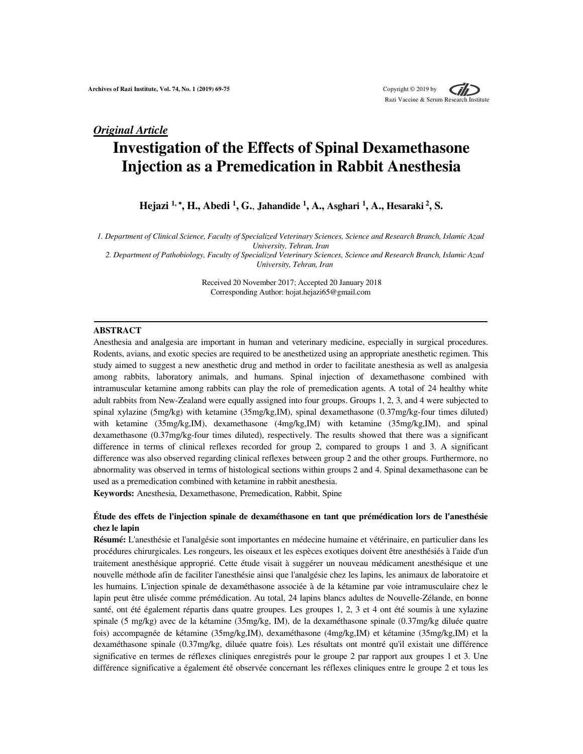## *Original Article*

# **Investigation of the Effects of Spinal Dexamethasone Injection as a Premedication in Rabbit Anesthesia**

**Hejazi 1,** <sup>∗</sup>**, H., Abedi <sup>1</sup> , G.**, **Jahandide <sup>1</sup> , A., Asghari <sup>1</sup> , A., Hesaraki<sup>2</sup>, S.** 

*1. Department of Clinical Science, Faculty of Specialized Veterinary Sciences, Science and Research Branch, Islamic Azad University, Tehran, Iran* 

*2. Department of Pathobiology, Faculty of Specialized Veterinary Sciences, Science and Research Branch, Islamic Azad University, Tehran, Iran*

> Received 20 November 2017; Accepted 20 January 2018 Corresponding Author: hojat.hejazi65@gmail.com

#### **ABSTRACT**

Anesthesia and analgesia are important in human and veterinary medicine, especially in surgical procedures. Rodents, avians, and exotic species are required to be anesthetized using an appropriate anesthetic regimen. This study aimed to suggest a new anesthetic drug and method in order to facilitate anesthesia as well as analgesia among rabbits, laboratory animals, and humans. Spinal injection of dexamethasone combined with intramuscular ketamine among rabbits can play the role of premedication agents. A total of 24 healthy white adult rabbits from New-Zealand were equally assigned into four groups. Groups 1, 2, 3, and 4 were subjected to spinal xylazine (5mg/kg) with ketamine (35mg/kg,IM), spinal dexamethasone (0.37mg/kg-four times diluted) with ketamine (35mg/kg,IM), dexamethasone (4mg/kg,IM) with ketamine (35mg/kg,IM), and spinal dexamethasone (0.37mg/kg-four times diluted), respectively. The results showed that there was a significant difference in terms of clinical reflexes recorded for group 2, compared to groups 1 and 3. A significant difference was also observed regarding clinical reflexes between group 2 and the other groups. Furthermore, no abnormality was observed in terms of histological sections within groups 2 and 4. Spinal dexamethasone can be used as a premedication combined with ketamine in rabbit anesthesia.

**Keywords:** Anesthesia, Dexamethasone, Premedication, Rabbit, Spine

## **Étude des effets de l'injection spinale de dexaméthasone en tant que prémédication lors de l'anesthésie chez le lapin**

**Résumé:** L'anesthésie et l'analgésie sont importantes en médecine humaine et vétérinaire, en particulier dans les procédures chirurgicales. Les rongeurs, les oiseaux et les espèces exotiques doivent être anesthésiés à l'aide d'un traitement anesthésique approprié. Cette étude visait à suggérer un nouveau médicament anesthésique et une nouvelle méthode afin de faciliter l'anesthésie ainsi que l'analgésie chez les lapins, les animaux de laboratoire et les humains. L'injection spinale de dexaméthasone associée à de la kétamine par voie intramusculaire chez le lapin peut être ulisée comme prémédication. Au total, 24 lapins blancs adultes de Nouvelle-Zélande, en bonne santé, ont été également répartis dans quatre groupes. Les groupes 1, 2, 3 et 4 ont été soumis à une xylazine spinale (5 mg/kg) avec de la kétamine (35mg/kg, IM), de la dexaméthasone spinale (0.37mg/kg diluée quatre fois) accompagnée de kétamine (35mg/kg,IM), dexaméthasone (4mg/kg,IM) et kétamine (35mg/kg,IM) et la dexaméthasone spinale (0.37mg/kg, diluée quatre fois). Les résultats ont montré qu'il existait une différence significative en termes de réflexes cliniques enregistrés pour le groupe 2 par rapport aux groupes 1 et 3. Une différence significative a également été observée concernant les réflexes cliniques entre le groupe 2 et tous les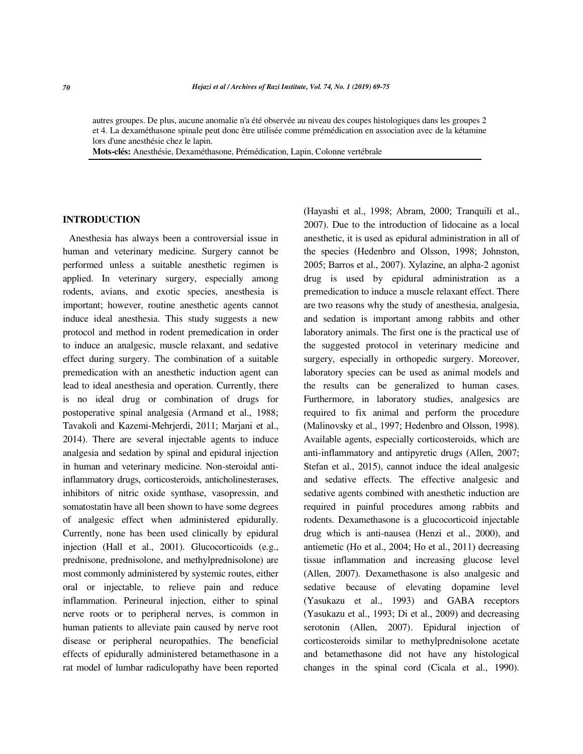autres groupes. De plus, aucune anomalie n'a été observée au niveau des coupes histologiques dans les groupes 2 et 4. La dexaméthasone spinale peut donc être utilisée comme prémédication en association avec de la kétamine lors d'une anesthésie chez le lapin.

**Mots-clés:** Anesthésie, Dexaméthasone, Prémédication, Lapin, Colonne vertébrale

## **INTRODUCTION**

Anesthesia has always been a controversial issue in human and veterinary medicine. Surgery cannot be performed unless a suitable anesthetic regimen is applied. In veterinary surgery, especially among rodents, avians, and exotic species, anesthesia is important; however, routine anesthetic agents cannot induce ideal anesthesia. This study suggests a new protocol and method in rodent premedication in order to induce an analgesic, muscle relaxant, and sedative effect during surgery. The combination of a suitable premedication with an anesthetic induction agent can lead to ideal anesthesia and operation. Currently, there is no ideal drug or combination of drugs for postoperative spinal analgesia (Armand et al., 1988; Tavakoli and Kazemi-Mehrjerdi, 2011; Marjani et al., 2014). There are several injectable agents to induce analgesia and sedation by spinal and epidural injection in human and veterinary medicine. Non-steroidal antiinflammatory drugs, corticosteroids, anticholinesterases, inhibitors of nitric oxide synthase, vasopressin, and somatostatin have all been shown to have some degrees of analgesic effect when administered epidurally. Currently, none has been used clinically by epidural injection (Hall et al., 2001). Glucocorticoids (e.g., prednisone, prednisolone, and methylprednisolone) are most commonly administered by systemic routes, either oral or injectable, to relieve pain and reduce inflammation. Perineural injection, either to spinal nerve roots or to peripheral nerves, is common in human patients to alleviate pain caused by nerve root disease or peripheral neuropathies. The beneficial effects of epidurally administered betamethasone in a rat model of lumbar radiculopathy have been reported (Hayashi et al., 1998; Abram, 2000; Tranquili et al., 2007). Due to the introduction of lidocaine as a local anesthetic, it is used as epidural administration in all of the species (Hedenbro and Olsson, 1998; Johnston, 2005; Barros et al., 2007). Xylazine, an alpha-2 agonist drug is used by epidural administration as a premedication to induce a muscle relaxant effect. There are two reasons why the study of anesthesia, analgesia, and sedation is important among rabbits and other laboratory animals. The first one is the practical use of the suggested protocol in veterinary medicine and surgery, especially in orthopedic surgery. Moreover, laboratory species can be used as animal models and the results can be generalized to human cases. Furthermore, in laboratory studies, analgesics are required to fix animal and perform the procedure (Malinovsky et al., 1997; Hedenbro and Olsson, 1998). Available agents, especially corticosteroids, which are anti-inflammatory and antipyretic drugs (Allen, 2007; Stefan et al., 2015), cannot induce the ideal analgesic and sedative effects. The effective analgesic and sedative agents combined with anesthetic induction are required in painful procedures among rabbits and rodents. Dexamethasone is a glucocorticoid injectable drug which is anti-nausea (Henzi et al., 2000), and antiemetic (Ho et al., 2004; Ho et al., 2011) decreasing tissue inflammation and increasing glucose level (Allen, 2007). Dexamethasone is also analgesic and sedative because of elevating dopamine level (Yasukazu et al., 1993) and GABA receptors (Yasukazu et al., 1993; Di et al., 2009) and decreasing serotonin (Allen, 2007). Epidural injection of corticosteroids similar to methylprednisolone acetate and betamethasone did not have any histological changes in the spinal cord (Cicala et al., 1990).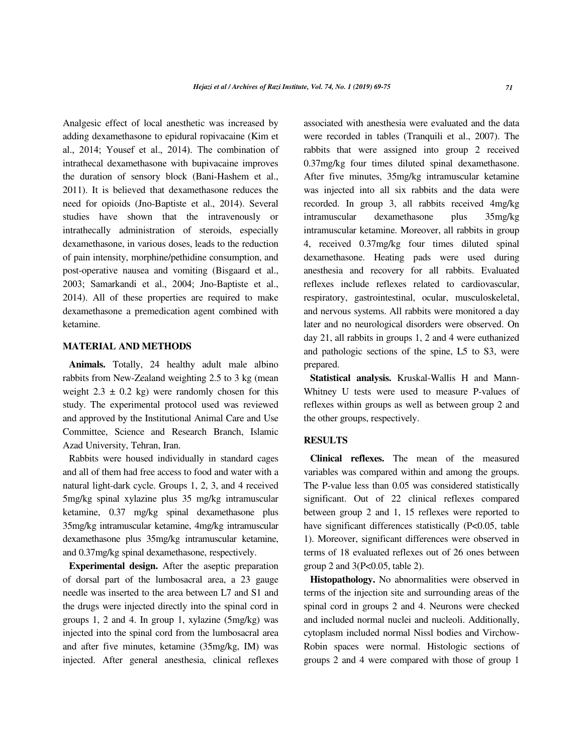Analgesic effect of local anesthetic was increased by adding dexamethasone to epidural ropivacaine (Kim et al., 2014; Yousef et al., 2014). The combination of intrathecal dexamethasone with bupivacaine improves the duration of sensory block (Bani-Hashem et al., 2011). It is believed that dexamethasone reduces the need for opioids (Jno-Baptiste et al., 2014). Several studies have shown that the intravenously or intrathecally administration of steroids, especially dexamethasone, in various doses, leads to the reduction of pain intensity, morphine/pethidine consumption, and post-operative nausea and vomiting (Bisgaard et al., 2003; Samarkandi et al., 2004; Jno-Baptiste et al., 2014). All of these properties are required to make dexamethasone a premedication agent combined with ketamine.

## **MATERIAL AND METHODS**

**Animals.** Totally, 24 healthy adult male albino rabbits from New-Zealand weighting 2.5 to 3 kg (mean weight  $2.3 \pm 0.2$  kg) were randomly chosen for this study. The experimental protocol used was reviewed and approved by the Institutional Animal Care and Use Committee, Science and Research Branch, Islamic Azad University, Tehran, Iran.

Rabbits were housed individually in standard cages and all of them had free access to food and water with a natural light-dark cycle. Groups 1, 2, 3, and 4 received 5mg/kg spinal xylazine plus 35 mg/kg intramuscular ketamine, 0.37 mg/kg spinal dexamethasone plus 35mg/kg intramuscular ketamine, 4mg/kg intramuscular dexamethasone plus 35mg/kg intramuscular ketamine, and 0.37mg/kg spinal dexamethasone, respectively.

**Experimental design.** After the aseptic preparation of dorsal part of the lumbosacral area, a 23 gauge needle was inserted to the area between L7 and S1 and the drugs were injected directly into the spinal cord in groups 1, 2 and 4. In group 1, xylazine (5mg/kg) was injected into the spinal cord from the lumbosacral area and after five minutes, ketamine (35mg/kg, IM) was injected. After general anesthesia, clinical reflexes associated with anesthesia were evaluated and the data were recorded in tables (Tranquili et al., 2007). The rabbits that were assigned into group 2 received 0.37mg/kg four times diluted spinal dexamethasone. After five minutes, 35mg/kg intramuscular ketamine was injected into all six rabbits and the data were recorded. In group 3, all rabbits received 4mg/kg intramuscular dexamethasone plus 35mg/kg intramuscular ketamine. Moreover, all rabbits in group 4, received 0.37mg/kg four times diluted spinal dexamethasone. Heating pads were used during anesthesia and recovery for all rabbits. Evaluated reflexes include reflexes related to cardiovascular, respiratory, gastrointestinal, ocular, musculoskeletal, and nervous systems. All rabbits were monitored a day later and no neurological disorders were observed. On day 21, all rabbits in groups 1, 2 and 4 were euthanized and pathologic sections of the spine, L5 to S3, were prepared.

**Statistical analysis.** Kruskal-Wallis H and Mann-Whitney U tests were used to measure P-values of reflexes within groups as well as between group 2 and the other groups, respectively.

## **RESULTS**

**Clinical reflexes.** The mean of the measured variables was compared within and among the groups. The P-value less than 0.05 was considered statistically significant. Out of 22 clinical reflexes compared between group 2 and 1, 15 reflexes were reported to have significant differences statistically (P<0.05, table 1). Moreover, significant differences were observed in terms of 18 evaluated reflexes out of 26 ones between group 2 and 3(P<0.05, table 2).

**Histopathology.** No abnormalities were observed in terms of the injection site and surrounding areas of the spinal cord in groups 2 and 4. Neurons were checked and included normal nuclei and nucleoli. Additionally, cytoplasm included normal Nissl bodies and Virchow-Robin spaces were normal. Histologic sections of groups 2 and 4 were compared with those of group 1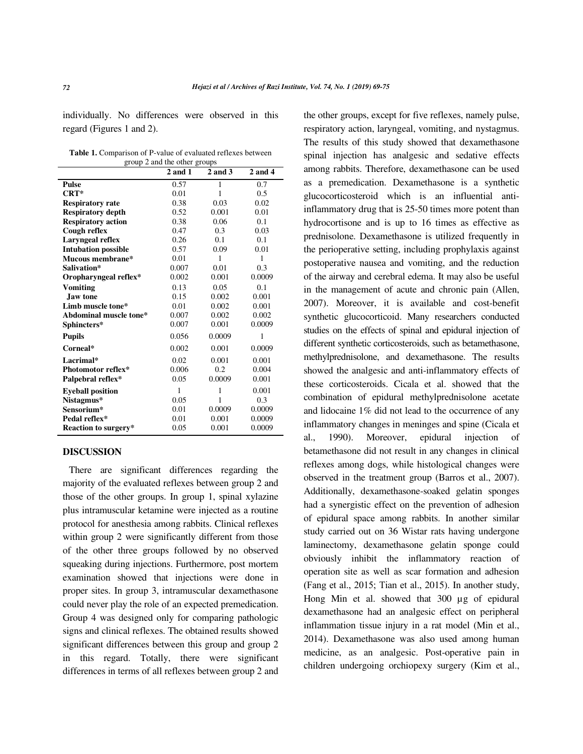individually. No differences were observed in this regard (Figures 1 and 2).

| <b>Table 1.</b> Comparison of P-value of evaluated reflexes between |
|---------------------------------------------------------------------|
| group 2 and the other groups                                        |

|                            | $2$ and $1$ | 2 and 3 | $2$ and $4$ |  |
|----------------------------|-------------|---------|-------------|--|
| <b>Pulse</b>               | 0.57        | 1       | 0.7         |  |
| $CRT^*$                    | 0.01        | 1       | 0.5         |  |
| <b>Respiratory rate</b>    | 0.38        | 0.03    | 0.02        |  |
| <b>Respiratory depth</b>   | 0.52        | 0.001   | 0.01        |  |
| <b>Respiratory action</b>  | 0.38        | 0.06    | 0.1         |  |
| Cough reflex               | 0.47        | 0.3     | 0.03        |  |
| Laryngeal reflex           | 0.26        | 0.1     | 0.1         |  |
| <b>Intubation possible</b> | 0.57        | 0.09    | 0.01        |  |
| Mucous membrane*           | 0.01        | 1       | 1           |  |
| Salivation*                | 0.007       | 0.01    | 0.3         |  |
| Oropharyngeal reflex*      | 0.002       | 0.001   | 0.0009      |  |
| Vomiting                   | 0.13        | 0.05    | 0.1         |  |
| <b>Jaw tone</b>            | 0.15        | 0.002   | 0.001       |  |
| Limb muscle tone*          | 0.01        | 0.002   | 0.001       |  |
| Abdominal muscle tone*     | 0.007       | 0.002   | 0.002       |  |
| Sphincters*                | 0.007       | 0.001   | 0.0009      |  |
| <b>Pupils</b>              | 0.056       | 0.0009  | 1           |  |
| Corneal*                   | 0.002       | 0.001   | 0.0009      |  |
| Lacrimal*                  | 0.02        | 0.001   | 0.001       |  |
| Photomotor reflex*         | 0.006       | 0.2     | 0.004       |  |
| Palpebral reflex*          | 0.05        | 0.0009  | 0.001       |  |
| <b>Eyeball position</b>    | 1           | 1       | 0.001       |  |
| Nistagmus*                 | 0.05        | 1       | 0.3         |  |
| Sensorium*                 | 0.01        | 0.0009  | 0.0009      |  |
| Pedal reflex*              | 0.01        | 0.001   | 0.0009      |  |
| Reaction to surgery*       | 0.05        | 0.001   | 0.0009      |  |

## **DISCUSSION**

There are significant differences regarding the majority of the evaluated reflexes between group 2 and those of the other groups. In group 1, spinal xylazine plus intramuscular ketamine were injected as a routine protocol for anesthesia among rabbits. Clinical reflexes within group 2 were significantly different from those of the other three groups followed by no observed squeaking during injections. Furthermore, post mortem examination showed that injections were done in proper sites. In group 3, intramuscular dexamethasone could never play the role of an expected premedication. Group 4 was designed only for comparing pathologic signs and clinical reflexes. The obtained results showed significant differences between this group and group 2 in this regard. Totally, there were significant differences in terms of all reflexes between group 2 and the other groups, except for five reflexes, namely pulse, respiratory action, laryngeal, vomiting, and nystagmus. The results of this study showed that dexamethasone spinal injection has analgesic and sedative effects among rabbits. Therefore, dexamethasone can be used as a premedication. Dexamethasone is a synthetic glucocorticosteroid which is an influential antiinflammatory drug that is 25-50 times more potent than hydrocortisone and is up to 16 times as effective as prednisolone. Dexamethasone is utilized frequently in the perioperative setting, including prophylaxis against postoperative nausea and vomiting, and the reduction of the airway and cerebral edema. It may also be useful in the management of acute and chronic pain (Allen, 2007). Moreover, it is available and cost-benefit synthetic glucocorticoid. Many researchers conducted studies on the effects of spinal and epidural injection of different synthetic corticosteroids, such as betamethasone, methylprednisolone, and dexamethasone. The results showed the analgesic and anti-inflammatory effects of these corticosteroids. Cicala et al. showed that the combination of epidural methylprednisolone acetate and lidocaine 1% did not lead to the occurrence of any inflammatory changes in meninges and spine (Cicala et al., 1990). Moreover, epidural injection of betamethasone did not result in any changes in clinical reflexes among dogs, while histological changes were observed in the treatment group (Barros et al., 2007). Additionally, dexamethasone-soaked gelatin sponges had a synergistic effect on the prevention of adhesion of epidural space among rabbits. In another similar study carried out on 36 Wistar rats having undergone laminectomy, dexamethasone gelatin sponge could obviously inhibit the inflammatory reaction of operation site as well as scar formation and adhesion (Fang et al., 2015; Tian et al., 2015). In another study, Hong Min et al. showed that 300 µg of epidural dexamethasone had an analgesic effect on peripheral inflammation tissue injury in a rat model (Min et al., 2014). Dexamethasone was also used among human medicine, as an analgesic. Post-operative pain in children undergoing orchiopexy surgery (Kim et al.,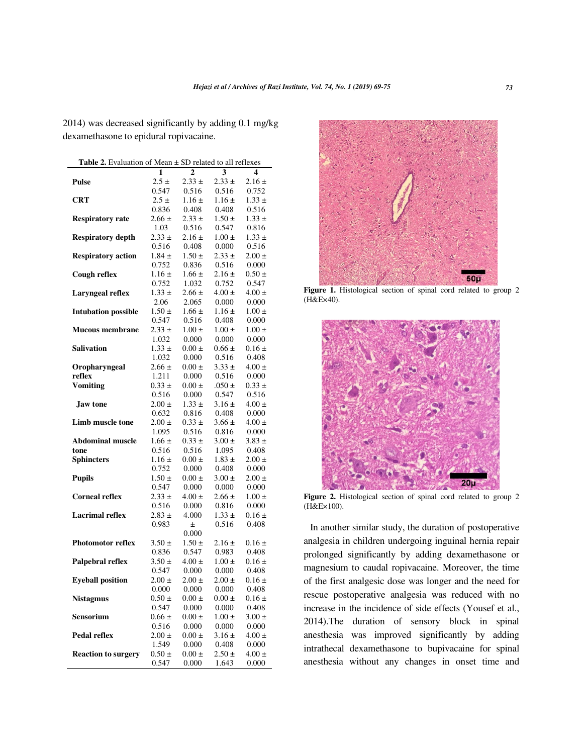2014) was decreased significantly by adding 0.1 mg/kg dexamethasone to epidural ropivacaine.

| <b>Table 2.</b> Evaluation of Mean $\pm$ SD related to all reflexes |            |                     |                     |            |  |  |  |
|---------------------------------------------------------------------|------------|---------------------|---------------------|------------|--|--|--|
|                                                                     | 1          | $\overline{2}$      | 3                   | 4          |  |  |  |
| <b>Pulse</b>                                                        | $2.5 \pm$  | $2.33 \pm$          | $2.33 \pm$          | $2.16 \pm$ |  |  |  |
|                                                                     | 0.547      | 0.516               | 0.516               | 0.752      |  |  |  |
| <b>CRT</b>                                                          | $2.5 \pm$  | $1.16 \pm$          | $1.16 \pm$          | $1.33 \pm$ |  |  |  |
|                                                                     | 0.836      | 0.408               | 0.408               | 0.516      |  |  |  |
| <b>Respiratory rate</b>                                             | $2.66 \pm$ | $2.33 \pm$          | $1.50 \pm$          | $1.33 \pm$ |  |  |  |
|                                                                     | 1.03       | 0.516               | 0.547               | 0.816      |  |  |  |
| <b>Respiratory depth</b>                                            | $2.33 \pm$ | $2.16 \pm$          | $1.00 \pm$          | $1.33 \pm$ |  |  |  |
|                                                                     | 0.516      | 0.408               | 0.000               | 0.516      |  |  |  |
| <b>Respiratory action</b>                                           | $1.84 \pm$ | $1.50 \pm$          | $2.33 \pm$          | $2.00 \pm$ |  |  |  |
|                                                                     | 0.752      | 0.836               | 0.516               | 0.000      |  |  |  |
| Cough reflex                                                        | $1.16 \pm$ | $1.66 \pm$          | $2.16 \pm$          | $0.50 \pm$ |  |  |  |
|                                                                     | 0.752      | 1.032               | 0.752               | 0.547      |  |  |  |
| <b>Laryngeal reflex</b>                                             | $1.33 \pm$ | $2.66 \pm$          | $4.00 \pm$          | $4.00 \pm$ |  |  |  |
|                                                                     | 2.06       | 2.065               | 0.000               | 0.000      |  |  |  |
| <b>Intubation possible</b>                                          | $1.50 \pm$ | $1.66 \pm$          | $1.16 \pm$          | $1.00 \pm$ |  |  |  |
|                                                                     | 0.547      | 0.516               | 0.408               | 0.000      |  |  |  |
| <b>Mucous membrane</b>                                              | $2.33 \pm$ | $1.00 \pm$          | $1.00 \pm$          | $1.00 \pm$ |  |  |  |
|                                                                     | 1.032      | 0.000               | 0.000               | 0.000      |  |  |  |
| Salivation                                                          | $1.33 \pm$ | $0.00 \pm$          | $0.66 \pm$          | $0.16 \pm$ |  |  |  |
|                                                                     | 1.032      | 0.000               | 0.516               | 0.408      |  |  |  |
|                                                                     | $2.66 \pm$ |                     |                     |            |  |  |  |
| Oropharyngeal                                                       |            | $0.00 \pm$<br>0.000 | $3.33 \pm$<br>0.516 | $4.00 \pm$ |  |  |  |
| reflex<br><b>Vomiting</b>                                           | 1.211      |                     |                     | 0.000      |  |  |  |
|                                                                     | $0.33 \pm$ | $0.00 \pm$          | $.050 \pm$          | $0.33 \pm$ |  |  |  |
|                                                                     | 0.516      | 0.000               | 0.547               | 0.516      |  |  |  |
| Jaw tone                                                            | $2.00 \pm$ | $1.33 \pm$          | $3.16 \pm$          | $4.00 \pm$ |  |  |  |
|                                                                     | 0.632      | 0.816               | 0.408               | 0.000      |  |  |  |
| Limb muscle tone                                                    | $2.00 \pm$ | $0.33 \pm$          | $3.66 \pm$          | $4.00 \pm$ |  |  |  |
|                                                                     | 1.095      | 0.516               | 0.816               | 0.000      |  |  |  |
| <b>Abdominal muscle</b>                                             | $1.66 \pm$ | $0.33 \pm$          | $3.00 \pm$          | $3.83 \pm$ |  |  |  |
| tone                                                                | 0.516      | 0.516               | 1.095               | 0.408      |  |  |  |
| <b>Sphincters</b>                                                   | $1.16 \pm$ | $0.00 \pm$          | $1.83 \pm$          | $2.00 \pm$ |  |  |  |
|                                                                     | 0.752      | 0.000               | 0.408               | 0.000      |  |  |  |
| <b>Pupils</b>                                                       | $1.50 \pm$ | $0.00 \pm$          | $3.00 \pm$          | $2.00 \pm$ |  |  |  |
|                                                                     | 0.547      | 0.000               | 0.000               | 0.000      |  |  |  |
| <b>Corneal reflex</b>                                               | $2.33 \pm$ | $4.00 \pm$          | $2.66 \pm$          | $1.00 \pm$ |  |  |  |
|                                                                     | 0.516      | 0.000               | 0.816               | 0.000      |  |  |  |
| <b>Lacrimal reflex</b>                                              | $2.83 \pm$ | 4.000               | $1.33 \pm$          | $0.16 \pm$ |  |  |  |
|                                                                     | 0.983      | $\pm$               | 0.516               | 0.408      |  |  |  |
|                                                                     |            | 0.000               |                     |            |  |  |  |
| <b>Photomotor reflex</b>                                            | $3.50 \pm$ | $1.50 \pm$          | $2.16 \pm$          | $0.16 \pm$ |  |  |  |
|                                                                     | 0.836      | 0.547               | 0.983               | 0.408      |  |  |  |
| Palpebral reflex                                                    | $3.50 \pm$ | $4.00 \pm$          | $1.00 \pm$          | $0.16 \pm$ |  |  |  |
|                                                                     | 0.547      | 0.000               | 0.000               | 0.408      |  |  |  |
| <b>Eyeball position</b>                                             | $2.00 \pm$ | $2.00 \pm$          | $2.00 \pm$          | $0.16 \pm$ |  |  |  |
|                                                                     | 0.000      | 0.000               | 0.000               | 0.408      |  |  |  |
| <b>Nistagmus</b>                                                    | $0.50 \pm$ | $0.00 \pm$          | $0.00 \pm$          | $0.16 \pm$ |  |  |  |
|                                                                     | 0.547      | 0.000               | 0.000               | 0.408      |  |  |  |
| Sensorium                                                           | $0.66 \pm$ | $0.00 \pm$          | $1.00 \pm$          | $3.00 \pm$ |  |  |  |
|                                                                     | 0.516      | 0.000               | 0.000               | 0.000      |  |  |  |
| <b>Pedal reflex</b>                                                 | $2.00 \pm$ | $0.00 \pm$          | $3.16 \pm$          | $4.00 \pm$ |  |  |  |
|                                                                     | 1.549      | 0.000               | 0.408               | 0.000      |  |  |  |
| <b>Reaction to surgery</b>                                          | $0.50 \pm$ | $0.00 \pm$          | $2.50 \pm$          | $4.00 \pm$ |  |  |  |
|                                                                     | 0.547      | 0.000               | 1.643               | 0.000      |  |  |  |



Figure 1. Histological section of spinal cord related to group 2 (H&E×40).



**Figure 2.** Histological section of spinal cord related to group 2 (H&E×100).

In another similar study, the duration of postoperative analgesia in children undergoing inguinal hernia repair prolonged significantly by adding dexamethasone or magnesium to caudal ropivacaine. Moreover, the time of the first analgesic dose was longer and the need for rescue postoperative analgesia was reduced with no increase in the incidence of side effects (Yousef et al., 2014).The duration of sensory block in spinal anesthesia was improved significantly by adding intrathecal dexamethasone to bupivacaine for spinal anesthesia without any changes in onset time and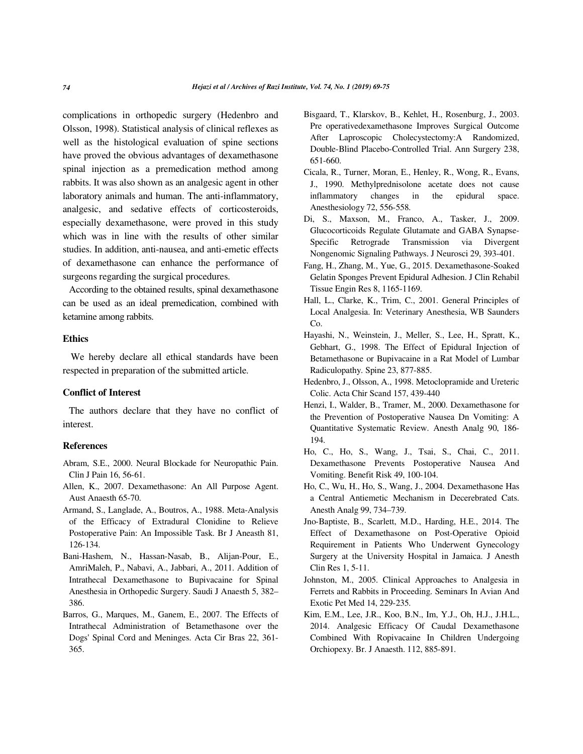complications in orthopedic surgery (Hedenbro and Olsson, 1998). Statistical analysis of clinical reflexes as well as the histological evaluation of spine sections have proved the obvious advantages of dexamethasone spinal injection as a premedication method among rabbits. It was also shown as an analgesic agent in other laboratory animals and human. The anti-inflammatory, analgesic, and sedative effects of corticosteroids, especially dexamethasone, were proved in this study which was in line with the results of other similar studies. In addition, anti-nausea, and anti-emetic effects of dexamethasone can enhance the performance of surgeons regarding the surgical procedures.

According to the obtained results, spinal dexamethasone can be used as an ideal premedication, combined with ketamine among rabbits.

#### **Ethics**

We hereby declare all ethical standards have been respected in preparation of the submitted article.

### **Conflict of Interest**

The authors declare that they have no conflict of interest.

## **References**

- Abram, S.E., 2000. Neural Blockade for Neuropathic Pain. Clin J Pain 16, 56-61.
- Allen, K., 2007. Dexamethasone: An All Purpose Agent. Aust Anaesth 65-70.
- Armand, S., Langlade, A., Boutros, A., 1988. Meta-Analysis of the Efficacy of Extradural Clonidine to Relieve Postoperative Pain: An Impossible Task. Br J Aneasth 81, 126-134.
- Bani-Hashem, N., Hassan-Nasab, B., Alijan-Pour, E., AmriMaleh, P., Nabavi, A., Jabbari, A., 2011. Addition of Intrathecal Dexamethasone to Bupivacaine for Spinal Anesthesia in Orthopedic Surgery. Saudi J Anaesth 5, 382– 386.
- Barros, G., Marques, M., Ganem, E., 2007. The Effects of Intrathecal Administration of Betamethasone over the Dogs' Spinal Cord and Meninges. Acta Cir Bras 22, 361- 365.
- Bisgaard, T., Klarskov, B., Kehlet, H., Rosenburg, J., 2003. Pre operativedexamethasone Improves Surgical Outcome After Laproscopic Cholecystectomy:A Randomized, Double-Blind Placebo-Controlled Trial. Ann Surgery 238, 651-660.
- Cicala, R., Turner, Moran, E., Henley, R., Wong, R., Evans, J., 1990. Methylprednisolone acetate does not cause inflammatory changes in the epidural space. Anesthesiology 72, 556-558.
- Di, S., Maxson, M., Franco, A., Tasker, J., 2009. Glucocorticoids Regulate Glutamate and GABA Synapse-Specific Retrograde Transmission via Divergent Nongenomic Signaling Pathways. J Neurosci 29, 393-401.
- Fang, H., Zhang, M., Yue, G., 2015. Dexamethasone-Soaked Gelatin Sponges Prevent Epidural Adhesion. J Clin Rehabil Tissue Engin Res 8, 1165-1169.
- Hall, L., Clarke, K., Trim, C., 2001. General Principles of Local Analgesia. In: Veterinary Anesthesia, WB Saunders Co.
- Hayashi, N., Weinstein, J., Meller, S., Lee, H., Spratt, K., Gebhart, G., 1998. The Effect of Epidural Injection of Betamethasone or Bupivacaine in a Rat Model of Lumbar Radiculopathy. Spine 23, 877-885.
- Hedenbro, J., Olsson, A., 1998. Metoclopramide and Ureteric Colic. Acta Chir Scand 157, 439-440
- Henzi, I., Walder, B., Tramer, M., 2000. Dexamethasone for the Prevention of Postoperative Nausea Dn Vomiting: A Quantitative Systematic Review. Anesth Analg 90, 186- 194.
- Ho, C., Ho, S., Wang, J., Tsai, S., Chai, C., 2011. Dexamethasone Prevents Postoperative Nausea And Vomiting. Benefit Risk 49, 100-104.
- Ho, C., Wu, H., Ho, S., Wang, J., 2004. Dexamethasone Has a Central Antiemetic Mechanism in Decerebrated Cats. Anesth Analg 99, 734–739.
- Jno-Baptiste, B., Scarlett, M.D., Harding, H.E., 2014. The Effect of Dexamethasone on Post-Operative Opioid Requirement in Patients Who Underwent Gynecology Surgery at the University Hospital in Jamaica. J Anesth Clin Res 1, 5-11.
- Johnston, M., 2005. Clinical Approaches to Analgesia in Ferrets and Rabbits in Proceeding. Seminars In Avian And Exotic Pet Med 14, 229-235.
- Kim, E.M., Lee, J.R., Koo, B.N., Im, Y.J., Oh, H.J., J.H.L., 2014. Analgesic Efficacy Of Caudal Dexamethasone Combined With Ropivacaine In Children Undergoing Orchiopexy. Br. J Anaesth. 112, 885-891.